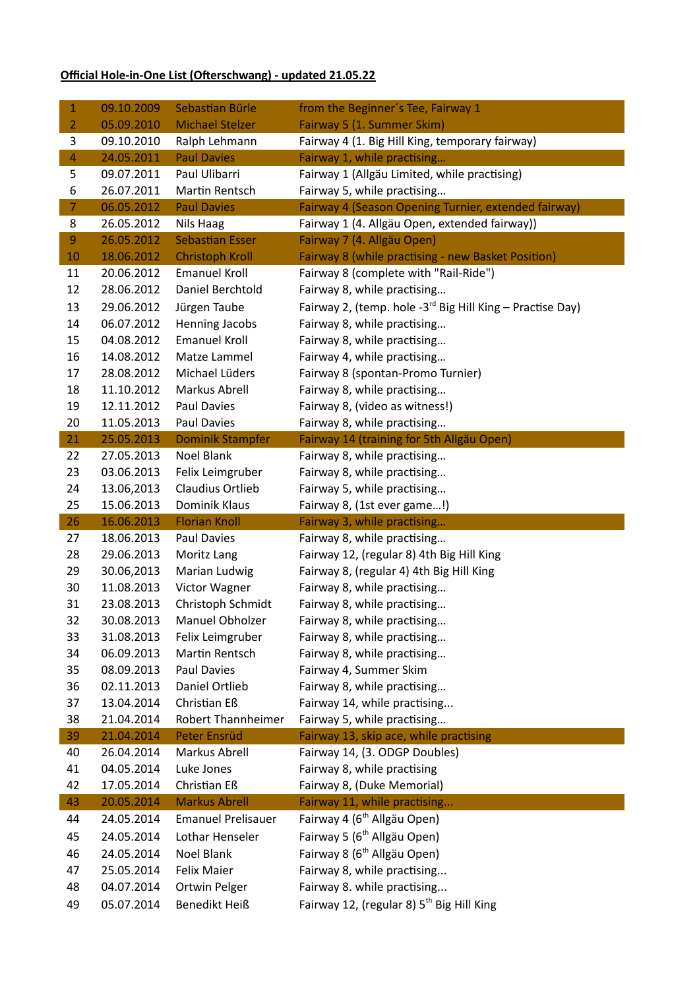## **Official Hole-in-One List (Ofterschwang) - updated 21.05.22**

| $\mathbf{1}$   | 09.10.2009               | Sebastian Bürle                       | from the Beginner's Tee, Fairway 1                                                   |
|----------------|--------------------------|---------------------------------------|--------------------------------------------------------------------------------------|
| $\overline{2}$ | 05.09.2010               | <b>Michael Stelzer</b>                | Fairway 5 (1. Summer Skim)                                                           |
| 3              | 09.10.2010               | Ralph Lehmann                         | Fairway 4 (1. Big Hill King, temporary fairway)                                      |
| $\overline{4}$ | 24.05.2011               | <b>Paul Davies</b>                    | Fairway 1, while practising                                                          |
| 5              | 09.07.2011               | Paul Ulibarri                         | Fairway 1 (Allgäu Limited, while practising)                                         |
| 6              | 26.07.2011               | Martin Rentsch                        | Fairway 5, while practising                                                          |
| $\overline{7}$ | 06.05.2012               | <b>Paul Davies</b>                    | Fairway 4 (Season Opening Turnier, extended fairway)                                 |
| 8              | 26.05.2012               | Nils Haag                             | Fairway 1 (4. Allgäu Open, extended fairway))                                        |
| 9              | 26.05.2012               | <b>Sebastian Esser</b>                | Fairway 7 (4. Allgäu Open)                                                           |
| 10             | 18.06.2012               | <b>Christoph Kroll</b>                | Fairway 8 (while practising - new Basket Position)                                   |
| 11             | 20.06.2012               | <b>Emanuel Kroll</b>                  | Fairway 8 (complete with "Rail-Ride")                                                |
| 12             | 28.06.2012               | Daniel Berchtold                      | Fairway 8, while practising                                                          |
| 13             | 29.06.2012               | Jürgen Taube                          | Fairway 2, (temp. hole -3 <sup>rd</sup> Big Hill King - Practise Day)                |
| 14             | 06.07.2012               | Henning Jacobs                        | Fairway 8, while practising                                                          |
| 15             | 04.08.2012               | <b>Emanuel Kroll</b>                  | Fairway 8, while practising                                                          |
| 16             | 14.08.2012               | Matze Lammel                          | Fairway 4, while practising                                                          |
| 17             | 28.08.2012               | Michael Lüders                        | Fairway 8 (spontan-Promo Turnier)                                                    |
| 18             | 11.10.2012               | Markus Abrell                         | Fairway 8, while practising                                                          |
| 19             | 12.11.2012               | Paul Davies                           | Fairway 8, (video as witness!)                                                       |
| 20             | 11.05.2013               | Paul Davies                           | Fairway 8, while practising                                                          |
| 21             | 25.05.2013               | <b>Dominik Stampfer</b>               | Fairway 14 (training for 5th Allgäu Open)                                            |
| 22             | 27.05.2013               | <b>Noel Blank</b>                     | Fairway 8, while practising                                                          |
| 23             | 03.06.2013               | Felix Leimgruber                      | Fairway 8, while practising                                                          |
| 24             | 13.06,2013               | Claudius Ortlieb                      | Fairway 5, while practising                                                          |
| 25             | 15.06.2013               | Dominik Klaus                         | Fairway 8, (1st ever game!)                                                          |
|                |                          |                                       |                                                                                      |
| 26             | 16.06.2013               | <b>Florian Knoll</b>                  | Fairway 3, while practising                                                          |
| 27             | 18.06.2013               | Paul Davies                           | Fairway 8, while practising                                                          |
| 28             | 29.06.2013               | Moritz Lang                           | Fairway 12, (regular 8) 4th Big Hill King                                            |
| 29             | 30.06,2013               | Marian Ludwig                         | Fairway 8, (regular 4) 4th Big Hill King                                             |
| 30             | 11.08.2013               | Victor Wagner                         | Fairway 8, while practising                                                          |
| 31             | 23.08.2013               | Christoph Schmidt                     | Fairway 8, while practising                                                          |
| 32             | 30.08.2013               | Manuel Obholzer                       | Fairway 8, while practising                                                          |
| 33             | 31.08.2013               | Felix Leimgruber                      | Fairway 8, while practising                                                          |
| 34             | 06.09.2013               | Martin Rentsch                        | Fairway 8, while practising                                                          |
| 35             | 08.09.2013               | Paul Davies                           | Fairway 4, Summer Skim                                                               |
| 36             | 02.11.2013               | Daniel Ortlieb                        | Fairway 8, while practising                                                          |
| 37             | 13.04.2014               | Christian Eß                          | Fairway 14, while practising                                                         |
| 38             | 21.04.2014               | Robert Thannheimer                    | Fairway 5, while practising                                                          |
| 39             | 21.04.2014               | <b>Peter Ensrüd</b>                   | Fairway 13, skip ace, while practising                                               |
| 40             | 26.04.2014               | Markus Abrell                         | Fairway 14, (3. ODGP Doubles)                                                        |
| 41             | 04.05.2014               | Luke Jones                            | Fairway 8, while practising                                                          |
| 42             | 17.05.2014               | Christian Eß                          | Fairway 8, (Duke Memorial)                                                           |
| 43             | 20.05.2014               | <b>Markus Abrell</b>                  | Fairway 11, while practising                                                         |
| 44             | 24.05.2014               | <b>Emanuel Prelisauer</b>             | Fairway 4 (6 <sup>th</sup> Allgäu Open)                                              |
| 45             | 24.05.2014               | Lothar Henseler                       | Fairway 5 (6 <sup>th</sup> Allgäu Open)                                              |
| 46             | 24.05.2014               | Noel Blank                            | Fairway 8 (6 <sup>th</sup> Allgäu Open)                                              |
| 47             | 25.05.2014               | <b>Felix Maier</b>                    | Fairway 8, while practising                                                          |
| 48<br>49       | 04.07.2014<br>05.07.2014 | Ortwin Pelger<br><b>Benedikt Heiß</b> | Fairway 8. while practising<br>Fairway 12, (regular 8) 5 <sup>th</sup> Big Hill King |